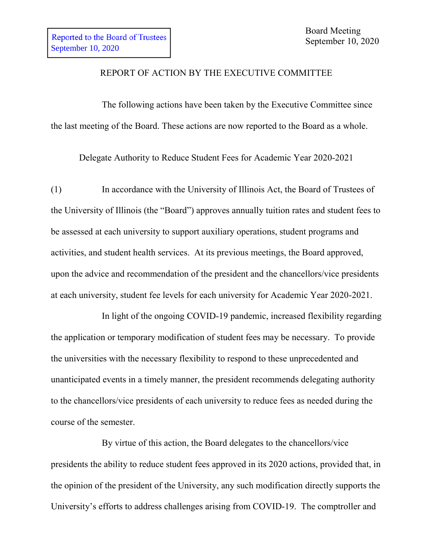## REPORT OF ACTION BY THE EXECUTIVE COMMITTEE

The following actions have been taken by the Executive Committee since the last meeting of the Board. These actions are now reported to the Board as a whole.

Delegate Authority to Reduce Student Fees for Academic Year 2020-2021

(1) In accordance with the University of Illinois Act, the Board of Trustees of the University of Illinois (the "Board") approves annually tuition rates and student fees to be assessed at each university to support auxiliary operations, student programs and activities, and student health services. At its previous meetings, the Board approved, upon the advice and recommendation of the president and the chancellors/vice presidents at each university, student fee levels for each university for Academic Year 2020-2021.

In light of the ongoing COVID-19 pandemic, increased flexibility regarding the application or temporary modification of student fees may be necessary. To provide the universities with the necessary flexibility to respond to these unprecedented and unanticipated events in a timely manner, the president recommends delegating authority to the chancellors/vice presidents of each university to reduce fees as needed during the course of the semester.

By virtue of this action, the Board delegates to the chancellors/vice presidents the ability to reduce student fees approved in its 2020 actions, provided that, in the opinion of the president of the University, any such modification directly supports the University's efforts to address challenges arising from COVID-19. The comptroller and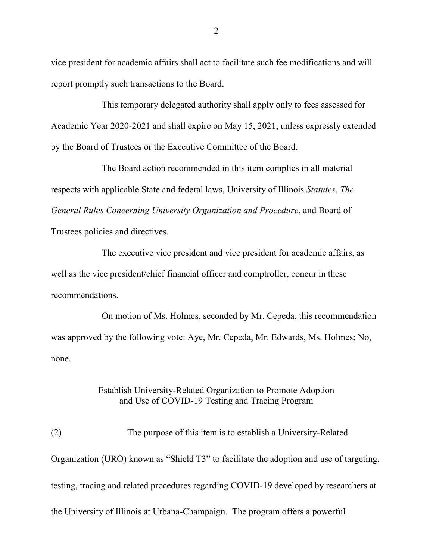vice president for academic affairs shall act to facilitate such fee modifications and will report promptly such transactions to the Board.

This temporary delegated authority shall apply only to fees assessed for Academic Year 2020-2021 and shall expire on May 15, 2021, unless expressly extended by the Board of Trustees or the Executive Committee of the Board.

The Board action recommended in this item complies in all material respects with applicable State and federal laws, University of Illinois *Statutes*, *The General Rules Concerning University Organization and Procedure*, and Board of Trustees policies and directives.

The executive vice president and vice president for academic affairs, as well as the vice president/chief financial officer and comptroller, concur in these recommendations.

On motion of Ms. Holmes, seconded by Mr. Cepeda, this recommendation was approved by the following vote: Aye, Mr. Cepeda, Mr. Edwards, Ms. Holmes; No, none.

## Establish University-Related Organization to Promote Adoption and Use of COVID-19 Testing and Tracing Program

(2) The purpose of this item is to establish a University-Related Organization (URO) known as "Shield T3" to facilitate the adoption and use of targeting, testing, tracing and related procedures regarding COVID-19 developed by researchers at the University of Illinois at Urbana-Champaign. The program offers a powerful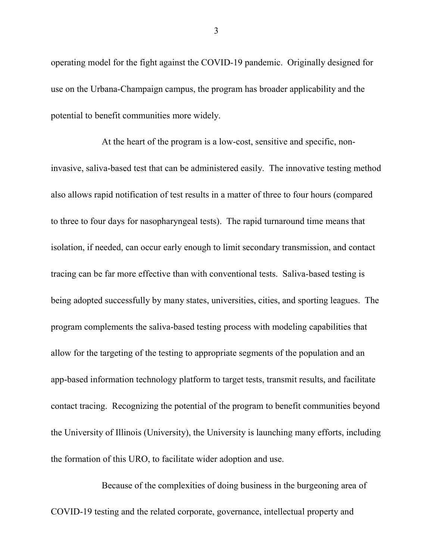operating model for the fight against the COVID-19 pandemic. Originally designed for use on the Urbana-Champaign campus, the program has broader applicability and the potential to benefit communities more widely.

At the heart of the program is a low-cost, sensitive and specific, noninvasive, saliva-based test that can be administered easily. The innovative testing method also allows rapid notification of test results in a matter of three to four hours (compared to three to four days for nasopharyngeal tests). The rapid turnaround time means that isolation, if needed, can occur early enough to limit secondary transmission, and contact tracing can be far more effective than with conventional tests. Saliva-based testing is being adopted successfully by many states, universities, cities, and sporting leagues. The program complements the saliva-based testing process with modeling capabilities that allow for the targeting of the testing to appropriate segments of the population and an app-based information technology platform to target tests, transmit results, and facilitate contact tracing. Recognizing the potential of the program to benefit communities beyond the University of Illinois (University), the University is launching many efforts, including the formation of this URO, to facilitate wider adoption and use.

Because of the complexities of doing business in the burgeoning area of COVID-19 testing and the related corporate, governance, intellectual property and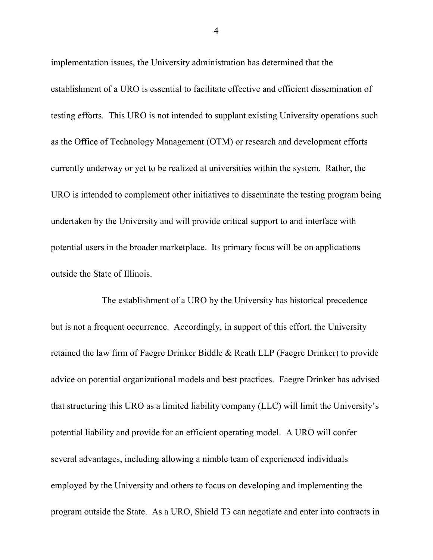implementation issues, the University administration has determined that the establishment of a URO is essential to facilitate effective and efficient dissemination of testing efforts. This URO is not intended to supplant existing University operations such as the Office of Technology Management (OTM) or research and development efforts currently underway or yet to be realized at universities within the system. Rather, the URO is intended to complement other initiatives to disseminate the testing program being undertaken by the University and will provide critical support to and interface with potential users in the broader marketplace. Its primary focus will be on applications outside the State of Illinois.

The establishment of a URO by the University has historical precedence but is not a frequent occurrence. Accordingly, in support of this effort, the University retained the law firm of Faegre Drinker Biddle & Reath LLP (Faegre Drinker) to provide advice on potential organizational models and best practices. Faegre Drinker has advised that structuring this URO as a limited liability company (LLC) will limit the University's potential liability and provide for an efficient operating model. A URO will confer several advantages, including allowing a nimble team of experienced individuals employed by the University and others to focus on developing and implementing the program outside the State. As a URO, Shield T3 can negotiate and enter into contracts in

4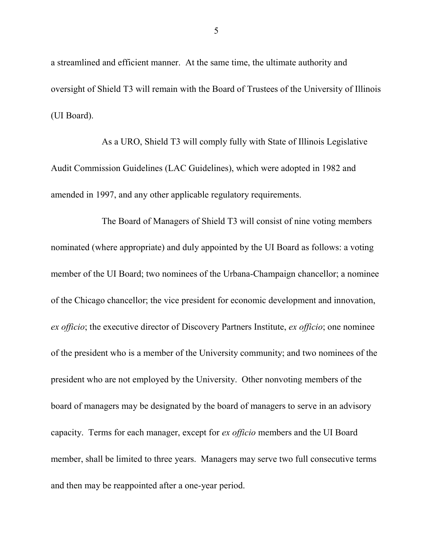a streamlined and efficient manner. At the same time, the ultimate authority and oversight of Shield T3 will remain with the Board of Trustees of the University of Illinois (UI Board).

As a URO, Shield T3 will comply fully with State of Illinois Legislative Audit Commission Guidelines (LAC Guidelines), which were adopted in 1982 and amended in 1997, and any other applicable regulatory requirements.

The Board of Managers of Shield T3 will consist of nine voting members nominated (where appropriate) and duly appointed by the UI Board as follows: a voting member of the UI Board; two nominees of the Urbana-Champaign chancellor; a nominee of the Chicago chancellor; the vice president for economic development and innovation, *ex officio*; the executive director of Discovery Partners Institute, *ex officio*; one nominee of the president who is a member of the University community; and two nominees of the president who are not employed by the University. Other nonvoting members of the board of managers may be designated by the board of managers to serve in an advisory capacity. Terms for each manager, except for *ex officio* members and the UI Board member, shall be limited to three years. Managers may serve two full consecutive terms and then may be reappointed after a one-year period.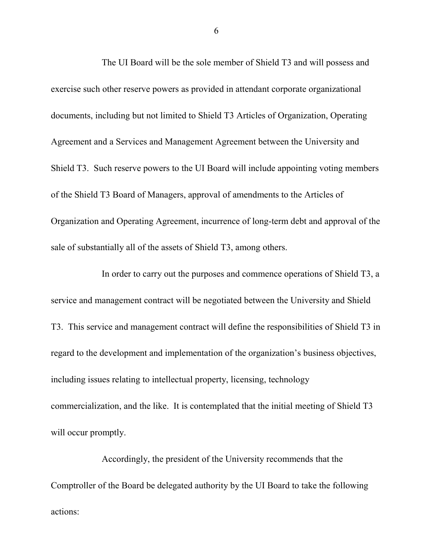The UI Board will be the sole member of Shield T3 and will possess and exercise such other reserve powers as provided in attendant corporate organizational documents, including but not limited to Shield T3 Articles of Organization, Operating Agreement and a Services and Management Agreement between the University and Shield T3. Such reserve powers to the UI Board will include appointing voting members of the Shield T3 Board of Managers, approval of amendments to the Articles of Organization and Operating Agreement, incurrence of long-term debt and approval of the sale of substantially all of the assets of Shield T3, among others.

In order to carry out the purposes and commence operations of Shield T3, a service and management contract will be negotiated between the University and Shield T3. This service and management contract will define the responsibilities of Shield T3 in regard to the development and implementation of the organization's business objectives, including issues relating to intellectual property, licensing, technology commercialization, and the like. It is contemplated that the initial meeting of Shield T3 will occur promptly.

Accordingly, the president of the University recommends that the Comptroller of the Board be delegated authority by the UI Board to take the following actions:

6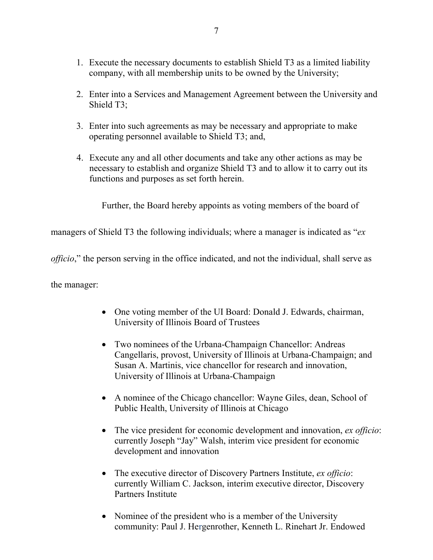- 1. Execute the necessary documents to establish Shield T3 as a limited liability company, with all membership units to be owned by the University;
- 2. Enter into a Services and Management Agreement between the University and Shield T3;
- 3. Enter into such agreements as may be necessary and appropriate to make operating personnel available to Shield T3; and,
- 4. Execute any and all other documents and take any other actions as may be necessary to establish and organize Shield T3 and to allow it to carry out its functions and purposes as set forth herein.

Further, the Board hereby appoints as voting members of the board of

managers of Shield T3 the following individuals; where a manager is indicated as "*ex* 

*officio*," the person serving in the office indicated, and not the individual, shall serve as

the manager:

- One voting member of the UI Board: Donald J. Edwards, chairman, University of Illinois Board of Trustees
- Two nominees of the Urbana-Champaign Chancellor: Andreas Cangellaris, provost, University of Illinois at Urbana-Champaign; and Susan A. Martinis, vice chancellor for research and innovation, University of Illinois at Urbana-Champaign
- A nominee of the Chicago chancellor: Wayne Giles, dean, School of Public Health, University of Illinois at Chicago
- The vice president for economic development and innovation, *ex officio*: currently Joseph "Jay" Walsh, interim vice president for economic development and innovation
- The executive director of Discovery Partners Institute, *ex officio*: currently William C. Jackson, interim executive director, Discovery Partners Institute
- Nominee of the president who is a member of the University community: Paul J. Hergenrother, Kenneth L. Rinehart Jr. Endowed